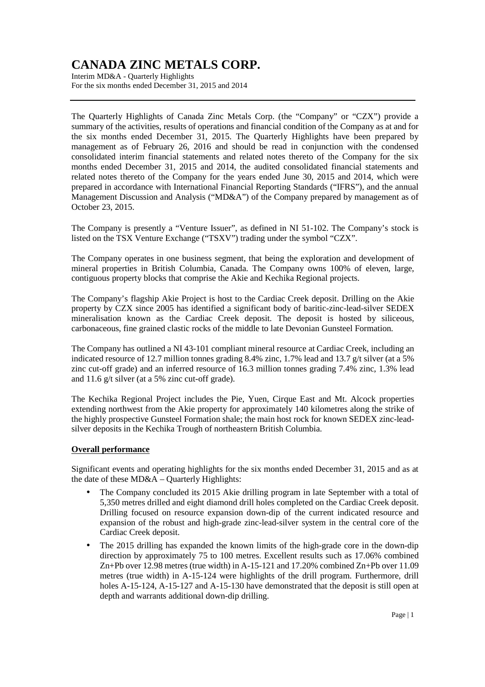Interim MD&A - Quarterly Highlights For the six months ended December 31, 2015 and 2014

The Quarterly Highlights of Canada Zinc Metals Corp. (the "Company" or "CZX") provide a summary of the activities, results of operations and financial condition of the Company as at and for the six months ended December 31, 2015. The Quarterly Highlights have been prepared by management as of February 26, 2016 and should be read in conjunction with the condensed consolidated interim financial statements and related notes thereto of the Company for the six months ended December 31, 2015 and 2014, the audited consolidated financial statements and related notes thereto of the Company for the years ended June 30, 2015 and 2014, which were prepared in accordance with International Financial Reporting Standards ("IFRS"), and the annual Management Discussion and Analysis ("MD&A") of the Company prepared by management as of October 23, 2015.

The Company is presently a "Venture Issuer", as defined in NI 51-102. The Company's stock is listed on the TSX Venture Exchange ("TSXV") trading under the symbol "CZX".

The Company operates in one business segment, that being the exploration and development of mineral properties in British Columbia, Canada. The Company owns 100% of eleven, large, contiguous property blocks that comprise the Akie and Kechika Regional projects.

The Company's flagship Akie Project is host to the Cardiac Creek deposit. Drilling on the Akie property by CZX since 2005 has identified a significant body of baritic-zinc-lead-silver SEDEX mineralisation known as the Cardiac Creek deposit. The deposit is hosted by siliceous, carbonaceous, fine grained clastic rocks of the middle to late Devonian Gunsteel Formation.

The Company has outlined a NI 43-101 compliant mineral resource at Cardiac Creek, including an indicated resource of 12.7 million tonnes grading 8.4% zinc, 1.7% lead and 13.7 g/t silver (at a 5% zinc cut-off grade) and an inferred resource of 16.3 million tonnes grading 7.4% zinc, 1.3% lead and 11.6 g/t silver (at a 5% zinc cut-off grade).

The Kechika Regional Project includes the Pie, Yuen, Cirque East and Mt. Alcock properties extending northwest from the Akie property for approximately 140 kilometres along the strike of the highly prospective Gunsteel Formation shale; the main host rock for known SEDEX zinc-leadsilver deposits in the Kechika Trough of northeastern British Columbia.

### **Overall performance**

Significant events and operating highlights for the six months ended December 31, 2015 and as at the date of these MD&A – Quarterly Highlights:

- The Company concluded its 2015 Akie drilling program in late September with a total of 5,350 metres drilled and eight diamond drill holes completed on the Cardiac Creek deposit. Drilling focused on resource expansion down-dip of the current indicated resource and expansion of the robust and high-grade zinc-lead-silver system in the central core of the Cardiac Creek deposit.
- The 2015 drilling has expanded the known limits of the high-grade core in the down-dip direction by approximately 75 to 100 metres. Excellent results such as 17.06% combined Zn+Pb over 12.98 metres (true width) in A-15-121 and 17.20% combined Zn+Pb over 11.09 metres (true width) in A-15-124 were highlights of the drill program. Furthermore, drill holes A-15-124, A-15-127 and A-15-130 have demonstrated that the deposit is still open at depth and warrants additional down-dip drilling.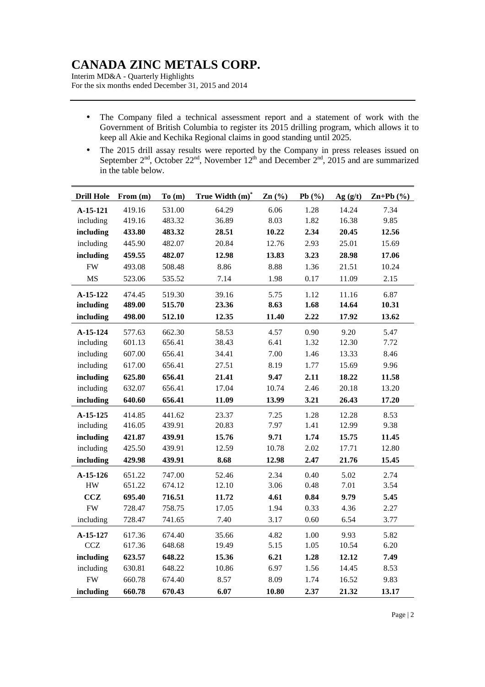Interim MD&A - Quarterly Highlights For the six months ended December 31, 2015 and 2014

- The Company filed a technical assessment report and a statement of work with the Government of British Columbia to register its 2015 drilling program, which allows it to keep all Akie and Kechika Regional claims in good standing until 2025.
- The 2015 drill assay results were reported by the Company in press releases issued on September  $2<sup>nd</sup>$ , October  $22<sup>nd</sup>$ , November  $12<sup>th</sup>$  and December  $2<sup>nd</sup>$ , 2015 and are summarized in the table below.

| <b>Drill Hole</b> | From (m) | To(m)  | True Width (m)* | Zn(%) | Pb(%) | Ag(g/t) | $Zn+Pb$ (%) |
|-------------------|----------|--------|-----------------|-------|-------|---------|-------------|
| A-15-121          | 419.16   | 531.00 | 64.29           | 6.06  | 1.28  | 14.24   | 7.34        |
| including         | 419.16   | 483.32 | 36.89           | 8.03  | 1.82  | 16.38   | 9.85        |
| including         | 433.80   | 483.32 | 28.51           | 10.22 | 2.34  | 20.45   | 12.56       |
| including         | 445.90   | 482.07 | 20.84           | 12.76 | 2.93  | 25.01   | 15.69       |
| including         | 459.55   | 482.07 | 12.98           | 13.83 | 3.23  | 28.98   | 17.06       |
| <b>FW</b>         | 493.08   | 508.48 | 8.86            | 8.88  | 1.36  | 21.51   | 10.24       |
| <b>MS</b>         | 523.06   | 535.52 | 7.14            | 1.98  | 0.17  | 11.09   | 2.15        |
| A-15-122          | 474.45   | 519.30 | 39.16           | 5.75  | 1.12  | 11.16   | 6.87        |
| including         | 489.00   | 515.70 | 23.36           | 8.63  | 1.68  | 14.64   | 10.31       |
| including         | 498.00   | 512.10 | 12.35           | 11.40 | 2.22  | 17.92   | 13.62       |
| $A-15-124$        | 577.63   | 662.30 | 58.53           | 4.57  | 0.90  | 9.20    | 5.47        |
| including         | 601.13   | 656.41 | 38.43           | 6.41  | 1.32  | 12.30   | 7.72        |
| including         | 607.00   | 656.41 | 34.41           | 7.00  | 1.46  | 13.33   | 8.46        |
| including         | 617.00   | 656.41 | 27.51           | 8.19  | 1.77  | 15.69   | 9.96        |
| including         | 625.80   | 656.41 | 21.41           | 9.47  | 2.11  | 18.22   | 11.58       |
| including         | 632.07   | 656.41 | 17.04           | 10.74 | 2.46  | 20.18   | 13.20       |
| including         | 640.60   | 656.41 | 11.09           | 13.99 | 3.21  | 26.43   | 17.20       |
| A-15-125          | 414.85   | 441.62 | 23.37           | 7.25  | 1.28  | 12.28   | 8.53        |
| including         | 416.05   | 439.91 | 20.83           | 7.97  | 1.41  | 12.99   | 9.38        |
| including         | 421.87   | 439.91 | 15.76           | 9.71  | 1.74  | 15.75   | 11.45       |
| including         | 425.50   | 439.91 | 12.59           | 10.78 | 2.02  | 17.71   | 12.80       |
| including         | 429.98   | 439.91 | 8.68            | 12.98 | 2.47  | 21.76   | 15.45       |
| A-15-126          | 651.22   | 747.00 | 52.46           | 2.34  | 0.40  | 5.02    | 2.74        |
| ${\rm HW}$        | 651.22   | 674.12 | 12.10           | 3.06  | 0.48  | 7.01    | 3.54        |
| CCZ               | 695.40   | 716.51 | 11.72           | 4.61  | 0.84  | 9.79    | 5.45        |
| <b>FW</b>         | 728.47   | 758.75 | 17.05           | 1.94  | 0.33  | 4.36    | 2.27        |
| including         | 728.47   | 741.65 | 7.40            | 3.17  | 0.60  | 6.54    | 3.77        |
| A-15-127          | 617.36   | 674.40 | 35.66           | 4.82  | 1.00  | 9.93    | 5.82        |
| CCZ               | 617.36   | 648.68 | 19.49           | 5.15  | 1.05  | 10.54   | 6.20        |
| including         | 623.57   | 648.22 | 15.36           | 6.21  | 1.28  | 12.12   | 7.49        |
| including         | 630.81   | 648.22 | 10.86           | 6.97  | 1.56  | 14.45   | 8.53        |
| <b>FW</b>         | 660.78   | 674.40 | 8.57            | 8.09  | 1.74  | 16.52   | 9.83        |
| including         | 660.78   | 670.43 | 6.07            | 10.80 | 2.37  | 21.32   | 13.17       |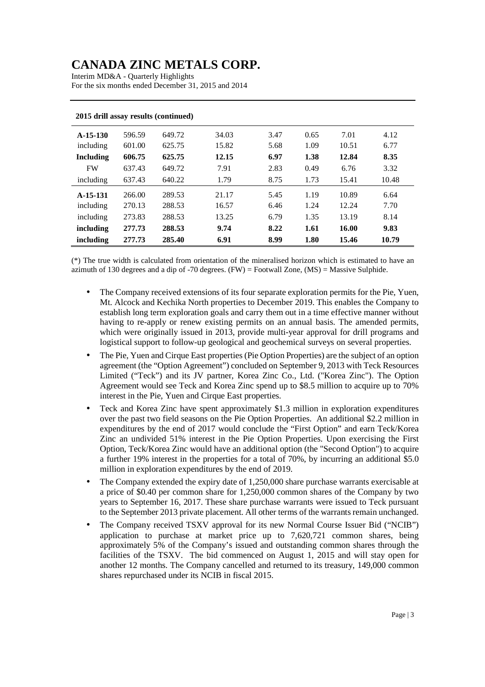Interim MD&A - Quarterly Highlights For the six months ended December 31, 2015 and 2014

| 2015 ariil assay results (continued) |        |        |       |      |      |       |       |
|--------------------------------------|--------|--------|-------|------|------|-------|-------|
| $A-15-130$                           | 596.59 | 649.72 | 34.03 | 3.47 | 0.65 | 7.01  | 4.12  |
| including                            | 601.00 | 625.75 | 15.82 | 5.68 | 1.09 | 10.51 | 6.77  |
| <b>Including</b>                     | 606.75 | 625.75 | 12.15 | 6.97 | 1.38 | 12.84 | 8.35  |
| <b>FW</b>                            | 637.43 | 649.72 | 7.91  | 2.83 | 0.49 | 6.76  | 3.32  |
| including                            | 637.43 | 640.22 | 1.79  | 8.75 | 1.73 | 15.41 | 10.48 |
| $A-15-131$                           | 266.00 | 289.53 | 21.17 | 5.45 | 1.19 | 10.89 | 6.64  |
| including                            | 270.13 | 288.53 | 16.57 | 6.46 | 1.24 | 12.24 | 7.70  |
| including                            | 273.83 | 288.53 | 13.25 | 6.79 | 1.35 | 13.19 | 8.14  |
| including                            | 277.73 | 288.53 | 9.74  | 8.22 | 1.61 | 16.00 | 9.83  |
| including                            | 277.73 | 285.40 | 6.91  | 8.99 | 1.80 | 15.46 | 10.79 |

#### **2015 drill assay results (continued)**

(\*) The true width is calculated from orientation of the mineralised horizon which is estimated to have an azimuth of 130 degrees and a dip of  $-70$  degrees. (FW) = Footwall Zone, (MS) = Massive Sulphide.

- The Company received extensions of its four separate exploration permits for the Pie, Yuen, Mt. Alcock and Kechika North properties to December 2019. This enables the Company to establish long term exploration goals and carry them out in a time effective manner without having to re-apply or renew existing permits on an annual basis. The amended permits, which were originally issued in 2013, provide multi-year approval for drill programs and logistical support to follow-up geological and geochemical surveys on several properties.
- The Pie, Yuen and Cirque East properties (Pie Option Properties) are the subject of an option agreement (the "Option Agreement") concluded on September 9, 2013 with Teck Resources Limited ("Teck") and its JV partner, Korea Zinc Co., Ltd. ("Korea Zinc"). The Option Agreement would see Teck and Korea Zinc spend up to \$8.5 million to acquire up to 70% interest in the Pie, Yuen and Cirque East properties.
- Teck and Korea Zinc have spent approximately \$1.3 million in exploration expenditures over the past two field seasons on the Pie Option Properties. An additional \$2.2 million in expenditures by the end of 2017 would conclude the "First Option" and earn Teck/Korea Zinc an undivided 51% interest in the Pie Option Properties. Upon exercising the First Option, Teck/Korea Zinc would have an additional option (the "Second Option") to acquire a further 19% interest in the properties for a total of 70%, by incurring an additional \$5.0 million in exploration expenditures by the end of 2019.
- The Company extended the expiry date of 1,250,000 share purchase warrants exercisable at a price of \$0.40 per common share for 1,250,000 common shares of the Company by two years to September 16, 2017. These share purchase warrants were issued to Teck pursuant to the September 2013 private placement. All other terms of the warrants remain unchanged.
- The Company received TSXV approval for its new Normal Course Issuer Bid ("NCIB") application to purchase at market price up to 7,620,721 common shares, being approximately 5% of the Company's issued and outstanding common shares through the facilities of the TSXV. The bid commenced on August 1, 2015 and will stay open for another 12 months. The Company cancelled and returned to its treasury, 149,000 common shares repurchased under its NCIB in fiscal 2015.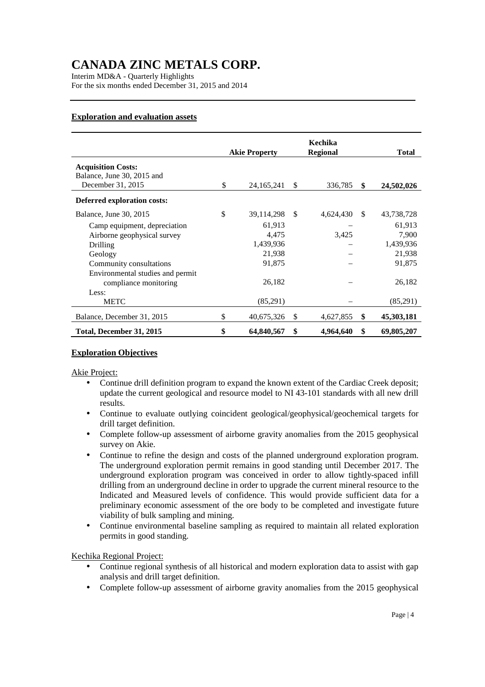Interim MD&A - Quarterly Highlights For the six months ended December 31, 2015 and 2014

## **Exploration and evaluation assets**

|                                  | <b>Akie Property</b> |               | Kechika<br><b>Regional</b> |               | <b>Total</b> |
|----------------------------------|----------------------|---------------|----------------------------|---------------|--------------|
| <b>Acquisition Costs:</b>        |                      |               |                            |               |              |
| Balance, June 30, 2015 and       |                      |               |                            |               |              |
| December 31, 2015                | \$<br>24, 165, 241   | <sup>\$</sup> | 336,785                    | \$            | 24,502,026   |
| Deferred exploration costs:      |                      |               |                            |               |              |
| Balance, June 30, 2015           | \$<br>39,114,298     | \$            | 4,624,430                  | <sup>\$</sup> | 43,738,728   |
| Camp equipment, depreciation     | 61,913               |               |                            |               | 61,913       |
| Airborne geophysical survey      | 4,475                |               | 3,425                      |               | 7,900        |
| Drilling                         | 1,439,936            |               |                            |               | 1,439,936    |
| Geology                          | 21,938               |               |                            |               | 21,938       |
| Community consultations          | 91,875               |               |                            |               | 91,875       |
| Environmental studies and permit |                      |               |                            |               |              |
| compliance monitoring            | 26,182               |               |                            |               | 26,182       |
| Less:                            |                      |               |                            |               |              |
| <b>METC</b>                      | (85,291)             |               |                            |               | (85,291)     |
| Balance, December 31, 2015       | \$<br>40,675,326     | \$            | 4,627,855                  | \$            | 45,303,181   |
| Total, December 31, 2015         | \$<br>64,840,567     | \$            | 4,964,640                  | \$            | 69,805,207   |

### **Exploration Objectives**

Akie Project:

- Continue drill definition program to expand the known extent of the Cardiac Creek deposit; update the current geological and resource model to NI 43-101 standards with all new drill results.
- Continue to evaluate outlying coincident geological/geophysical/geochemical targets for drill target definition.
- Complete follow-up assessment of airborne gravity anomalies from the 2015 geophysical survey on Akie.
- Continue to refine the design and costs of the planned underground exploration program. The underground exploration permit remains in good standing until December 2017. The underground exploration program was conceived in order to allow tightly-spaced infill drilling from an underground decline in order to upgrade the current mineral resource to the Indicated and Measured levels of confidence. This would provide sufficient data for a preliminary economic assessment of the ore body to be completed and investigate future viability of bulk sampling and mining.
- Continue environmental baseline sampling as required to maintain all related exploration permits in good standing.

Kechika Regional Project:

- Continue regional synthesis of all historical and modern exploration data to assist with gap analysis and drill target definition.
- Complete follow-up assessment of airborne gravity anomalies from the 2015 geophysical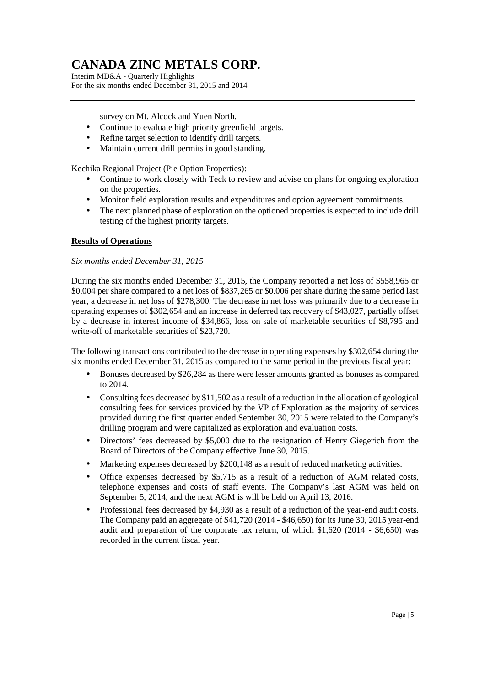Interim MD&A - Quarterly Highlights For the six months ended December 31, 2015 and 2014

survey on Mt. Alcock and Yuen North.

- Continue to evaluate high priority greenfield targets.
- Refine target selection to identify drill targets.
- Maintain current drill permits in good standing.

Kechika Regional Project (Pie Option Properties):

- Continue to work closely with Teck to review and advise on plans for ongoing exploration on the properties.
- Monitor field exploration results and expenditures and option agreement commitments.
- The next planned phase of exploration on the optioned properties is expected to include drill testing of the highest priority targets.

## **Results of Operations**

#### *Six months ended December 31, 2015*

During the six months ended December 31, 2015, the Company reported a net loss of \$558,965 or \$0.004 per share compared to a net loss of \$837,265 or \$0.006 per share during the same period last year, a decrease in net loss of \$278,300. The decrease in net loss was primarily due to a decrease in operating expenses of \$302,654 and an increase in deferred tax recovery of \$43,027, partially offset by a decrease in interest income of \$34,866, loss on sale of marketable securities of \$8,795 and write-off of marketable securities of \$23,720.

The following transactions contributed to the decrease in operating expenses by \$302,654 during the six months ended December 31, 2015 as compared to the same period in the previous fiscal year:

- Bonuses decreased by \$26,284 as there were lesser amounts granted as bonuses as compared to 2014.
- Consulting fees decreased by \$11,502 as a result of a reduction in the allocation of geological consulting fees for services provided by the VP of Exploration as the majority of services provided during the first quarter ended September 30, 2015 were related to the Company's drilling program and were capitalized as exploration and evaluation costs.
- Directors' fees decreased by \$5,000 due to the resignation of Henry Giegerich from the Board of Directors of the Company effective June 30, 2015.
- Marketing expenses decreased by \$200,148 as a result of reduced marketing activities.
- Office expenses decreased by \$5,715 as a result of a reduction of AGM related costs, telephone expenses and costs of staff events. The Company's last AGM was held on September 5, 2014, and the next AGM is will be held on April 13, 2016.
- Professional fees decreased by \$4,930 as a result of a reduction of the year-end audit costs. The Company paid an aggregate of \$41,720 (2014 - \$46,650) for its June 30, 2015 year-end audit and preparation of the corporate tax return, of which \$1,620 (2014 - \$6,650) was recorded in the current fiscal year.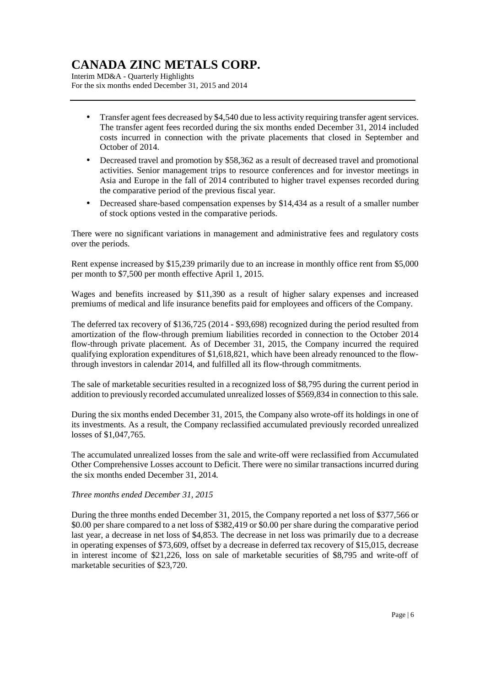Interim MD&A - Quarterly Highlights For the six months ended December 31, 2015 and 2014

- Transfer agent fees decreased by \$4,540 due to less activity requiring transfer agent services. The transfer agent fees recorded during the six months ended December 31, 2014 included costs incurred in connection with the private placements that closed in September and October of 2014.
- Decreased travel and promotion by \$58,362 as a result of decreased travel and promotional activities. Senior management trips to resource conferences and for investor meetings in Asia and Europe in the fall of 2014 contributed to higher travel expenses recorded during the comparative period of the previous fiscal year.
- Decreased share-based compensation expenses by \$14,434 as a result of a smaller number of stock options vested in the comparative periods.

There were no significant variations in management and administrative fees and regulatory costs over the periods.

Rent expense increased by \$15,239 primarily due to an increase in monthly office rent from \$5,000 per month to \$7,500 per month effective April 1, 2015.

Wages and benefits increased by \$11,390 as a result of higher salary expenses and increased premiums of medical and life insurance benefits paid for employees and officers of the Company.

The deferred tax recovery of \$136,725 (2014 - \$93,698) recognized during the period resulted from amortization of the flow-through premium liabilities recorded in connection to the October 2014 flow-through private placement. As of December 31, 2015, the Company incurred the required qualifying exploration expenditures of \$1,618,821, which have been already renounced to the flowthrough investors in calendar 2014, and fulfilled all its flow-through commitments.

The sale of marketable securities resulted in a recognized loss of \$8,795 during the current period in addition to previously recorded accumulated unrealized losses of \$569,834 in connection to this sale.

During the six months ended December 31, 2015, the Company also wrote-off its holdings in one of its investments. As a result, the Company reclassified accumulated previously recorded unrealized losses of \$1,047,765.

The accumulated unrealized losses from the sale and write-off were reclassified from Accumulated Other Comprehensive Losses account to Deficit. There were no similar transactions incurred during the six months ended December 31, 2014.

### *Three months ended December 31, 2015*

During the three months ended December 31, 2015, the Company reported a net loss of \$377,566 or \$0.00 per share compared to a net loss of \$382,419 or \$0.00 per share during the comparative period last year, a decrease in net loss of \$4,853. The decrease in net loss was primarily due to a decrease in operating expenses of \$73,609, offset by a decrease in deferred tax recovery of \$15,015, decrease in interest income of \$21,226, loss on sale of marketable securities of \$8,795 and write-off of marketable securities of \$23,720.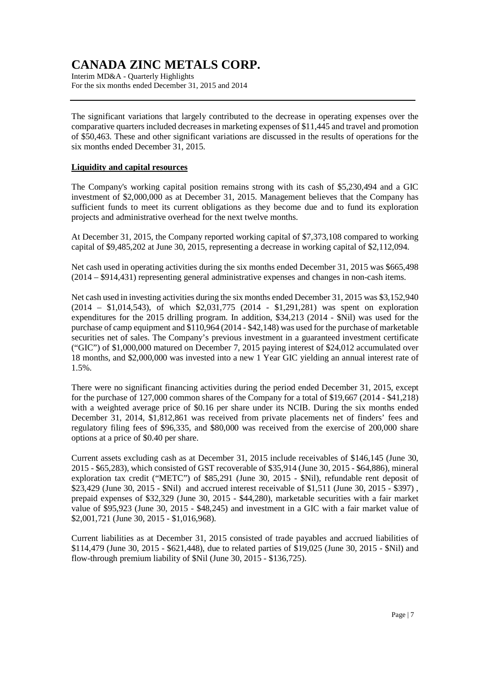Interim MD&A - Quarterly Highlights For the six months ended December 31, 2015 and 2014

The significant variations that largely contributed to the decrease in operating expenses over the comparative quarters included decreases in marketing expenses of \$11,445 and travel and promotion of \$50,463. These and other significant variations are discussed in the results of operations for the six months ended December 31, 2015.

### **Liquidity and capital resources**

The Company's working capital position remains strong with its cash of \$5,230,494 and a GIC investment of \$2,000,000 as at December 31, 2015. Management believes that the Company has sufficient funds to meet its current obligations as they become due and to fund its exploration projects and administrative overhead for the next twelve months.

At December 31, 2015, the Company reported working capital of \$7,373,108 compared to working capital of \$9,485,202 at June 30, 2015, representing a decrease in working capital of \$2,112,094.

Net cash used in operating activities during the six months ended December 31, 2015 was \$665,498 (2014 – \$914,431) representing general administrative expenses and changes in non-cash items.

Net cash used in investing activities during the six months ended December 31, 2015 was \$3,152,940 (2014 – \$1,014,543), of which \$2,031,775 (2014 - \$1,291,281) was spent on exploration expenditures for the 2015 drilling program. In addition, \$34,213 (2014 - \$Nil) was used for the purchase of camp equipment and \$110,964 (2014 - \$42,148) was used for the purchase of marketable securities net of sales. The Company's previous investment in a guaranteed investment certificate ("GIC") of \$1,000,000 matured on December 7, 2015 paying interest of \$24,012 accumulated over 18 months, and \$2,000,000 was invested into a new 1 Year GIC yielding an annual interest rate of 1.5%.

There were no significant financing activities during the period ended December 31, 2015, except for the purchase of 127,000 common shares of the Company for a total of \$19,667 (2014 - \$41,218) with a weighted average price of \$0.16 per share under its NCIB. During the six months ended December 31, 2014, \$1,812,861 was received from private placements net of finders' fees and regulatory filing fees of \$96,335, and \$80,000 was received from the exercise of 200,000 share options at a price of \$0.40 per share.

Current assets excluding cash as at December 31, 2015 include receivables of \$146,145 (June 30, 2015 - \$65,283), which consisted of GST recoverable of \$35,914 (June 30, 2015 - \$64,886), mineral exploration tax credit ("METC") of \$85,291 (June 30, 2015 - \$Nil), refundable rent deposit of \$23,429 (June 30, 2015 - \$Nil) and accrued interest receivable of \$1,511 (June 30, 2015 - \$397) , prepaid expenses of \$32,329 (June 30, 2015 - \$44,280), marketable securities with a fair market value of \$95,923 (June 30, 2015 - \$48,245) and investment in a GIC with a fair market value of \$2,001,721 (June 30, 2015 - \$1,016,968).

Current liabilities as at December 31, 2015 consisted of trade payables and accrued liabilities of \$114,479 (June 30, 2015 - \$621,448), due to related parties of \$19,025 (June 30, 2015 - \$Nil) and flow-through premium liability of \$Nil (June 30, 2015 - \$136,725).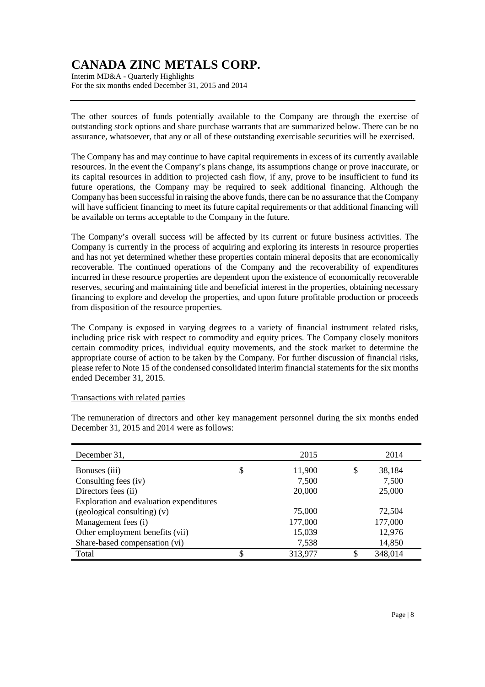Interim MD&A - Quarterly Highlights For the six months ended December 31, 2015 and 2014

The other sources of funds potentially available to the Company are through the exercise of outstanding stock options and share purchase warrants that are summarized below. There can be no assurance, whatsoever, that any or all of these outstanding exercisable securities will be exercised.

The Company has and may continue to have capital requirements in excess of its currently available resources. In the event the Company's plans change, its assumptions change or prove inaccurate, or its capital resources in addition to projected cash flow, if any, prove to be insufficient to fund its future operations, the Company may be required to seek additional financing. Although the Company has been successful in raising the above funds, there can be no assurance that the Company will have sufficient financing to meet its future capital requirements or that additional financing will be available on terms acceptable to the Company in the future.

The Company's overall success will be affected by its current or future business activities. The Company is currently in the process of acquiring and exploring its interests in resource properties and has not yet determined whether these properties contain mineral deposits that are economically recoverable. The continued operations of the Company and the recoverability of expenditures incurred in these resource properties are dependent upon the existence of economically recoverable reserves, securing and maintaining title and beneficial interest in the properties, obtaining necessary financing to explore and develop the properties, and upon future profitable production or proceeds from disposition of the resource properties.

The Company is exposed in varying degrees to a variety of financial instrument related risks, including price risk with respect to commodity and equity prices. The Company closely monitors certain commodity prices, individual equity movements, and the stock market to determine the appropriate course of action to be taken by the Company. For further discussion of financial risks, please refer to Note 15 of the condensed consolidated interim financial statements for the six months ended December 31, 2015.

### Transactions with related parties

The remuneration of directors and other key management personnel during the six months ended December 31, 2015 and 2014 were as follows:

| December 31,                            | 2015          |    | 2014    |
|-----------------------------------------|---------------|----|---------|
| Bonuses (iii)                           | \$<br>11,900  | \$ | 38,184  |
| Consulting fees (iv)                    | 7,500         |    | 7,500   |
| Directors fees (ii)                     | 20,000        |    | 25,000  |
| Exploration and evaluation expenditures |               |    |         |
| $(gedogical consulting)$ (v)            | 75,000        |    | 72,504  |
| Management fees (i)                     | 177,000       |    | 177,000 |
| Other employment benefits (vii)         | 15,039        |    | 12,976  |
| Share-based compensation (vi)           | 7,538         |    | 14,850  |
| Total                                   | \$<br>313,977 | ¢  | 348,014 |